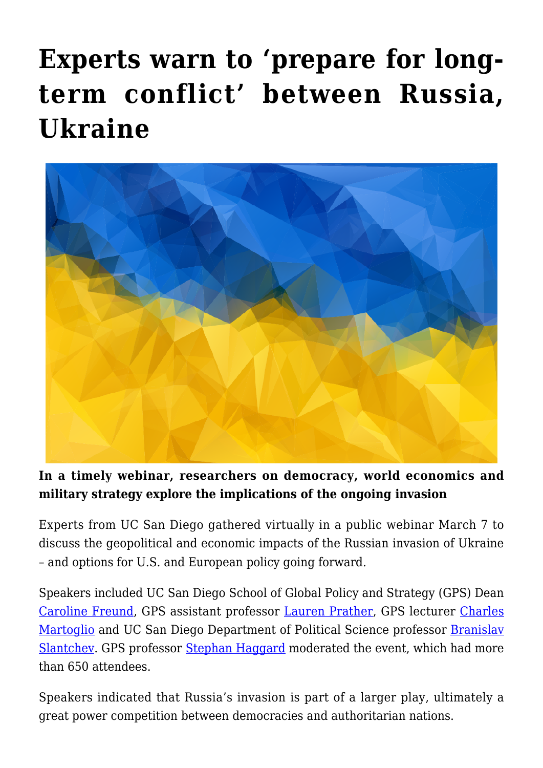# **[Experts warn to 'prepare for long](https://gpsnews.ucsd.edu/experts-warn-to-prepare-for-long-term-conflict-between-russia-ukraine/)[term conflict' between Russia,](https://gpsnews.ucsd.edu/experts-warn-to-prepare-for-long-term-conflict-between-russia-ukraine/) [Ukraine](https://gpsnews.ucsd.edu/experts-warn-to-prepare-for-long-term-conflict-between-russia-ukraine/)**



#### **In a timely webinar, researchers on democracy, world economics and military strategy explore the implications of the ongoing invasion**

Experts from UC San Diego gathered virtually in a public webinar March 7 to discuss the geopolitical and economic impacts of the Russian invasion of Ukraine – and options for U.S. and European policy going forward.

Speakers included UC San Diego School of Global Policy and Strategy (GPS) Dean [Caroline Freund,](https://gps.ucsd.edu/faculty-directory/caroline-freund.html) GPS assistant professor [Lauren Prather](https://gps.ucsd.edu/faculty-directory/lauren-prather.html), GPS lecturer [Charles](https://gps.ucsd.edu/faculty-directory/charles-martoglio.html) [Martoglio](https://gps.ucsd.edu/faculty-directory/charles-martoglio.html) and UC San Diego Department of Political Science professor [Branislav](https://polisci.ucsd.edu/people/faculty/faculty-directory/currently-active-faculty/slantchev-profile.html) [Slantchev](https://polisci.ucsd.edu/people/faculty/faculty-directory/currently-active-faculty/slantchev-profile.html). GPS professor [Stephan Haggard](https://gps.ucsd.edu/faculty-directory/stephan-haggard.html) moderated the event, which had more than 650 attendees.

Speakers indicated that Russia's invasion is part of a larger play, ultimately a great power competition between democracies and authoritarian nations.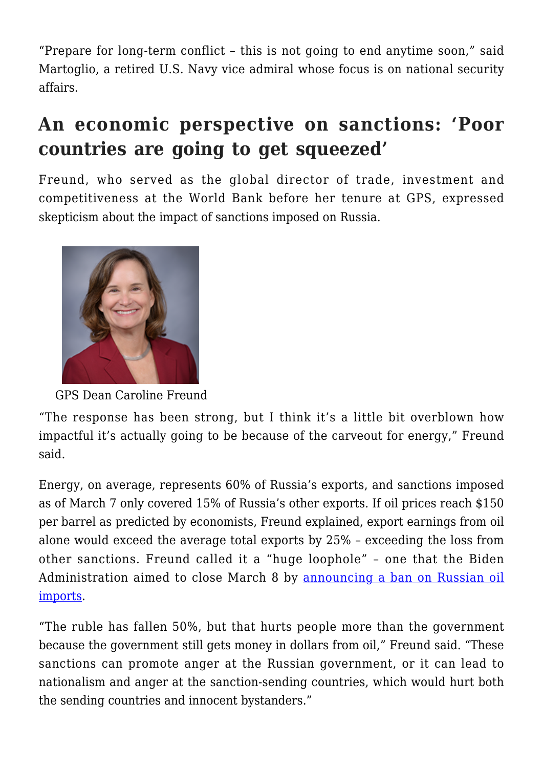"Prepare for long-term conflict – this is not going to end anytime soon," said Martoglio, a retired U.S. Navy vice admiral whose focus is on national security affairs.

## **An economic perspective on sanctions: 'Poor countries are going to get squeezed'**

Freund, who served as the global director of trade, investment and competitiveness at the World Bank before her tenure at GPS, expressed skepticism about the impact of sanctions imposed on Russia.



GPS Dean Caroline Freund

"The response has been strong, but I think it's a little bit overblown how impactful it's actually going to be because of the carveout for energy," Freund said.

Energy, on average, represents 60% of Russia's exports, and sanctions imposed as of March 7 only covered 15% of Russia's other exports. If oil prices reach \$150 per barrel as predicted by economists, Freund explained, export earnings from oil alone would exceed the average total exports by 25% – exceeding the loss from other sanctions. Freund called it a "huge loophole" – one that the Biden Administration aimed to close March 8 by [announcing a ban on Russian oil](https://apnews.com/article/russia-ukraine-war-us-russia-oil-ban-120c0152cf310a5b593f6ae7a2857e62) [imports.](https://apnews.com/article/russia-ukraine-war-us-russia-oil-ban-120c0152cf310a5b593f6ae7a2857e62)

"The ruble has fallen 50%, but that hurts people more than the government because the government still gets money in dollars from oil," Freund said. "These sanctions can promote anger at the Russian government, or it can lead to nationalism and anger at the sanction-sending countries, which would hurt both the sending countries and innocent bystanders."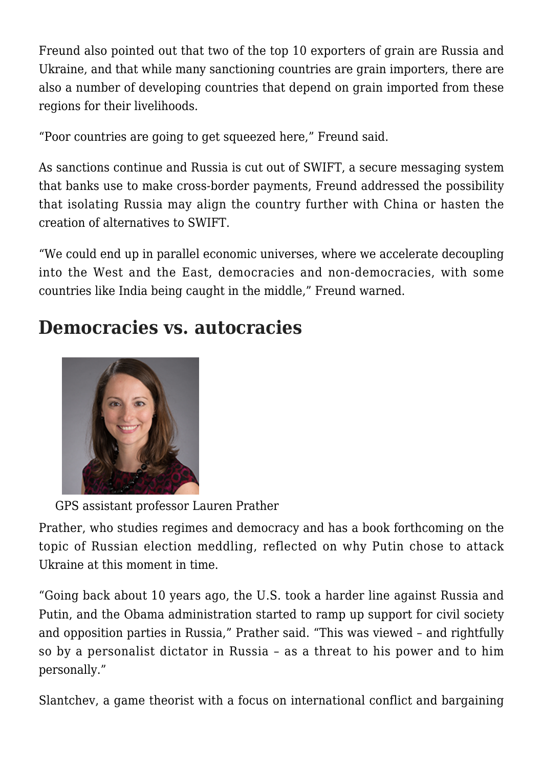Freund also pointed out that two of the top 10 exporters of grain are Russia and Ukraine, and that while many sanctioning countries are grain importers, there are also a number of developing countries that depend on grain imported from these regions for their livelihoods.

"Poor countries are going to get squeezed here," Freund said.

As sanctions continue and Russia is cut out of SWIFT, a secure messaging system that banks use to make cross-border payments, Freund addressed the possibility that isolating Russia may align the country further with China or hasten the creation of alternatives to SWIFT.

"We could end up in parallel economic universes, where we accelerate decoupling into the West and the East, democracies and non-democracies, with some countries like India being caught in the middle," Freund warned.

#### **Democracies vs. autocracies**



GPS assistant professor Lauren Prather

Prather, who studies regimes and democracy and has a book forthcoming on the topic of Russian election meddling, reflected on why Putin chose to attack Ukraine at this moment in time.

"Going back about 10 years ago, the U.S. took a harder line against Russia and Putin, and the Obama administration started to ramp up support for civil society and opposition parties in Russia," Prather said. "This was viewed – and rightfully so by a personalist dictator in Russia – as a threat to his power and to him personally."

Slantchev, a game theorist with a focus on international conflict and bargaining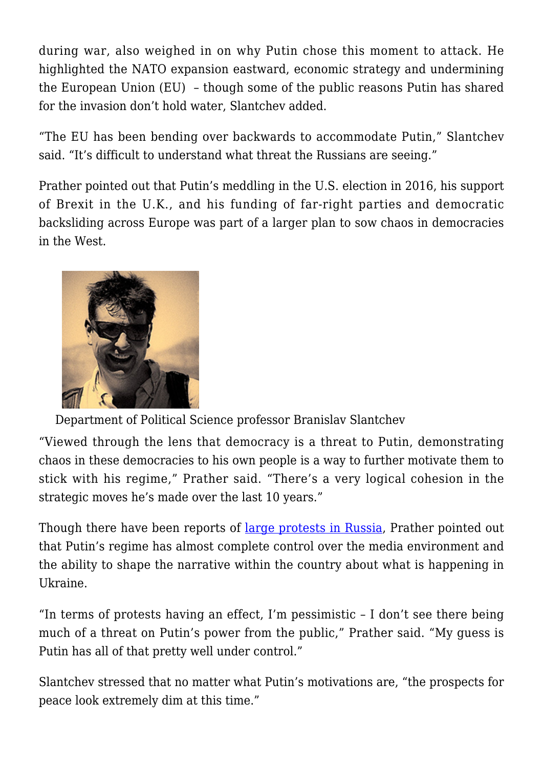during war, also weighed in on why Putin chose this moment to attack. He highlighted the NATO expansion eastward, economic strategy and undermining the European Union (EU) – though some of the public reasons Putin has shared for the invasion don't hold water, Slantchev added.

"The EU has been bending over backwards to accommodate Putin," Slantchev said. "It's difficult to understand what threat the Russians are seeing."

Prather pointed out that Putin's meddling in the U.S. election in 2016, his support of Brexit in the U.K., and his funding of far-right parties and democratic backsliding across Europe was part of a larger plan to sow chaos in democracies in the West.



Department of Political Science professor Branislav Slantchev

"Viewed through the lens that democracy is a threat to Putin, demonstrating chaos in these democracies to his own people is a way to further motivate them to stick with his regime," Prather said. "There's a very logical cohesion in the strategic moves he's made over the last 10 years."

Though there have been reports of [large protests in Russia,](https://www.reuters.com/world/europe/more-than-64-people-detained-anti-war-protests-russia-protest-monitor-2022-03-06/) Prather pointed out that Putin's regime has almost complete control over the media environment and the ability to shape the narrative within the country about what is happening in Ukraine.

"In terms of protests having an effect, I'm pessimistic – I don't see there being much of a threat on Putin's power from the public," Prather said. "My guess is Putin has all of that pretty well under control."

Slantchev stressed that no matter what Putin's motivations are, "the prospects for peace look extremely dim at this time."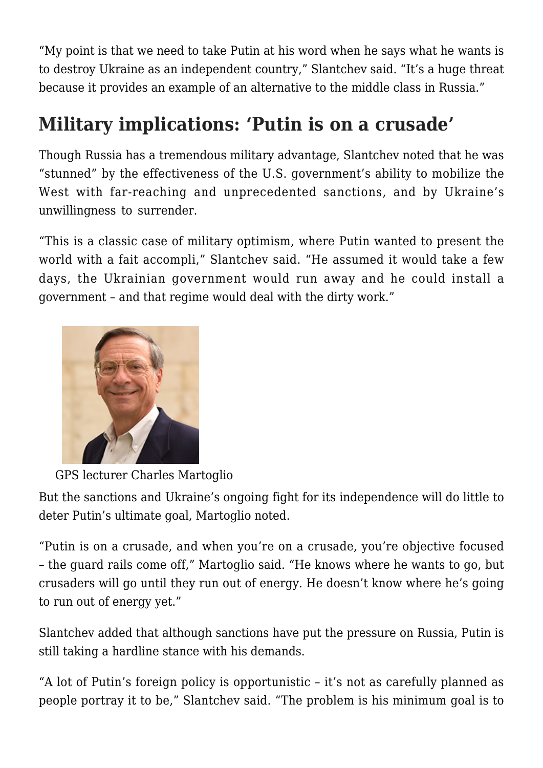"My point is that we need to take Putin at his word when he says what he wants is to destroy Ukraine as an independent country," Slantchev said. "It's a huge threat because it provides an example of an alternative to the middle class in Russia."

## **Military implications: 'Putin is on a crusade'**

Though Russia has a tremendous military advantage, Slantchev noted that he was "stunned" by the effectiveness of the U.S. government's ability to mobilize the West with far-reaching and unprecedented sanctions, and by Ukraine's unwillingness to surrender.

"This is a classic case of military optimism, where Putin wanted to present the world with a fait accompli," Slantchev said. "He assumed it would take a few days, the Ukrainian government would run away and he could install a government – and that regime would deal with the dirty work."



GPS lecturer Charles Martoglio

But the sanctions and Ukraine's ongoing fight for its independence will do little to deter Putin's ultimate goal, Martoglio noted.

"Putin is on a crusade, and when you're on a crusade, you're objective focused – the guard rails come off," Martoglio said. "He knows where he wants to go, but crusaders will go until they run out of energy. He doesn't know where he's going to run out of energy yet."

Slantchev added that although sanctions have put the pressure on Russia, Putin is still taking a hardline stance with his demands.

"A lot of Putin's foreign policy is opportunistic – it's not as carefully planned as people portray it to be," Slantchev said. "The problem is his minimum goal is to